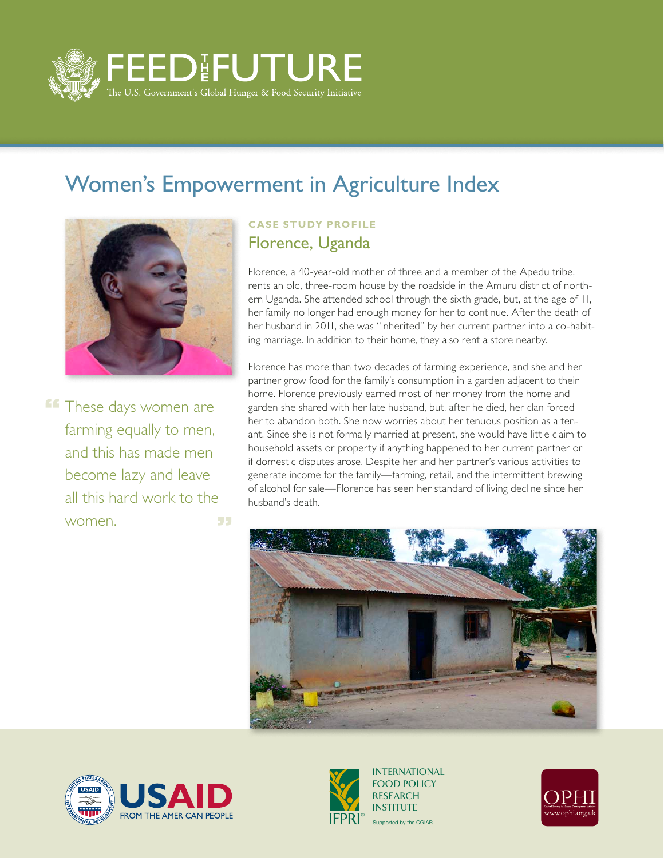

## Women's Empowerment in Agriculture Index



**These days women are** farming equally to men, and this has made men become lazy and leave all this hard work to the women. 55

## **Case Study Profile** Florence, Uganda

Florence, a 40-year-old mother of three and a member of the Apedu tribe, rents an old, three-room house by the roadside in the Amuru district of northern Uganda. She attended school through the sixth grade, but, at the age of 11, her family no longer had enough money for her to continue. After the death of her husband in 2011, she was "inherited" by her current partner into a co-habiting marriage. In addition to their home, they also rent a store nearby.

Florence has more than two decades of farming experience, and she and her partner grow food for the family's consumption in a garden adjacent to their home. Florence previously earned most of her money from the home and garden she shared with her late husband, but, after he died, her clan forced her to abandon both. She now worries about her tenuous position as a tenant. Since she is not formally married at present, she would have little claim to household assets or property if anything happened to her current partner or if domestic disputes arose. Despite her and her partner's various activities to generate income for the family—farming, retail, and the intermittent brewing of alcohol for sale—Florence has seen her standard of living decline since her husband's death.







Supported by the CGIAR INTERNATIONAL FOOD POLICY RESEARCH **INSTITUTE**